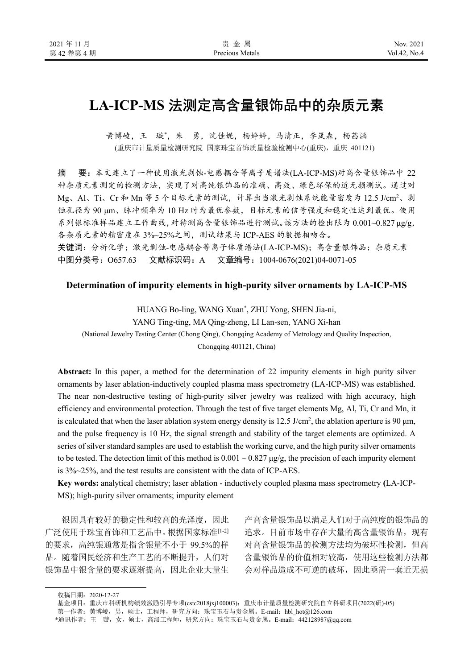# **LA-ICP-MS** 法测定高含量银饰品中的杂质元素

黄博崚,王 璇\*,朱 勇,沈佳妮,杨婷婷,马清正,李岚森,杨茜涵 (重庆市计量质量检测研究院 国家珠宝首饰质量检验检测中心(重庆),重庆 401121)

摘 要:本文建立了一种使用激光剥蚀-电感耦合等离子质谱法(LA-ICP-MS)对高含量银饰品中 22 种杂质元素测定的检测方法,实现了对高纯银饰品的准确、高效、绿色环保的近无损测试。通过对 Mg、Al、Ti、Cr 和 Mn 等 5 个目标元素的测试,计算出当激光剥蚀系统能量密度为 12.5 J/cm<sup>2</sup>、剥 蚀孔径为 90 μm、脉冲频率为 10 Hz 时为最优参数,目标元素的信号强度和稳定性达到最优。使用 系列银标准样品建立工作曲线,对待测高含量银饰品进行测试。该方法的检出限为 0.001~0.827 μg/g, 各杂质元素的精密度在 3%~25%之间,测试结果与 ICP-AES 的数据相吻合。 关键词:分析化学;激光剥蚀-电感耦合等离子体质谱法(LA-ICP-MS);高含量银饰品;杂质元素

中图分类号: O657.63 文献标识码: A 文章编号: 1004-0676(2021)04-0071-05

#### **Determination of impurity elements in high-purity silver ornaments by LA-ICP-MS**

HUANG Bo-ling, WANG Xuan\* , ZHU Yong, SHEN Jia-ni, YANG Ting-ting, MA Qing-zheng, LI Lan-sen, YANG Xi-han (National Jewelry Testing Center (Chong Qing), Chongqing Academy of Metrology and Quality Inspection, Chongqing 401121, China)

**Abstract:** In this paper, a method for the determination of 22 impurity elements in high purity silver ornaments by laser ablation-inductively coupled plasma mass spectrometry (LA-ICP-MS) was established. The near non-destructive testing of high-purity silver jewelry was realized with high accuracy, high efficiency and environmental protection. Through the test of five target elements Mg, Al, Ti, Cr and Mn, it is calculated that when the laser ablation system energy density is  $12.5$  J/cm<sup>2</sup>, the ablation aperture is 90  $\mu$ m, and the pulse frequency is 10 Hz, the signal strength and stability of the target elements are optimized. A series of silver standard samples are used to establish the working curve, and the high purity silver ornaments to be tested. The detection limit of this method is  $0.001 \sim 0.827 \mu g/g$ , the precision of each impurity element is 3%~25%, and the test results are consistent with the data of ICP-AES.

**Key words:** analytical chemistry; laser ablation - inductively coupled plasma mass spectrometry **(**LA-ICP-MS); high-purity silver ornaments; impurity element

银因具有较好的稳定性和较高的光泽度,因此 广泛使用于珠宝首饰和工艺品中。根据国家标准[1-2] 的要求,高纯银通常是指含银量不小于 99.5%的样 品。随着国民经济和生产工艺的不断提升,人们对 银饰品中银含量的要求逐渐提高,因此企业大量生

产高含量银饰品以满足人们对于高纯度的银饰品的 追求。目前市场中存在大量的高含量银饰品,现有 对高含量银饰品的检测方法均为破坏性检测,但高 含量银饰品的价值相对较高,使用这些检测方法都 会对样品造成不可逆的破坏,因此亟需一套近无损

收稿日期:2020-12-27

基金项目: 重庆市科研机构绩效激励引导专项(cstc2018jxj100003); 重庆市计量质量检测研究院自立科研项目(2022(研)-05)

第一作者: 黄博崚, 男, 硕士, 工程师, 研究方向: 珠宝玉石与贵金属。E-mail: hbl\_hot@126.com

<sup>\*</sup>通讯作者:王 璇,女,硕士,高级工程师,研究方向:珠宝玉石与贵金属。E-mail:442128987@qq.com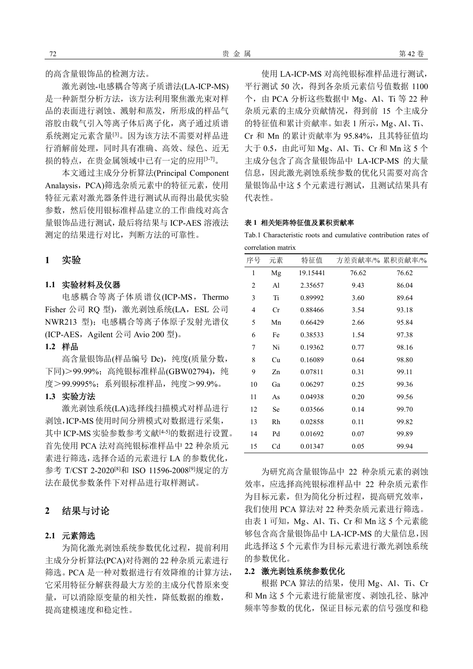的高含量银饰品的检测方法。

激光剥蚀-电感耦合等离子质谱法(LA-ICP-MS) 是一种新型分析方法,该方法利用聚焦激光束对样 品的表面进行剥蚀、溅射和蒸发,所形成的样品气 溶胶由载气引入等离子体后离子化,离子通过质谱 系统测定元素含量[3]。因为该方法不需要对样品进 行消解前处理,同时具有准确、高效、绿色、近无 损的特点,在贵金属领域中已有一定的应用[3-7]。

本文通过主成分分析算法(Principal Component Analaysis, PCA)筛选杂质元素中的特征元素, 使用 特征元素对激光器条件进行测试从而得出最优实验 参数,然后使用银标准样品建立的工作曲线对高含 量银饰品进行测试,最后将结果与 ICP-AES 溶液法 测定的结果进行对比,判断方法的可靠性。

# **1** 实验

### **1.1** 实验材料及仪器

电感耦合等离子体质谱仪(ICP-MS,Thermo Fisher 公司 RO 型), 激光剥蚀系统(LA, ESL 公司 NWR213 型);电感耦合等离子体原子发射光谱仪 (ICP-AES, Agilent 公司 Avio 200 型)。

# **1.2** 样品

高含量银饰品(样品编号 Dc), 纯度(质量分数, 下同) > 99.99%; 高纯银标准样品(GBW02794), 纯 度>99.9995%;系列银标准样品,纯度>99.9%。

#### **1.3** 实验方法

激光剥蚀系统(LA)选择线扫描模式对样品进行 剥蚀,ICP-MS使用时间分辨模式对数据进行采集, 其中 ICP-MS 实验参数参考文献<sup>[4-5]</sup>的数据进行设置。 首先使用 PCA 法对高纯银标准样品中 22 种杂质元 素进行筛选,选择合适的元素进行 LA 的参数优化, 参考 T/CST 2-2020[8]和 ISO 11596-2008[9]规定的方 法在最优参数条件下对样品进行取样测试。

# **2** 结果与讨论

# **2.1** 元素筛选

为简化激光剥蚀系统参数优化过程,提前利用 主成分分析算法(PCA)对待测的 22 种杂质元素进行 筛选。PCA 是一种对数据进行有效降维的计算方法, 它采用特征分解获得最大方差的主成分代替原来变 量,可以消除原变量的相关性,降低数据的维数, 提高建模速度和稳定性。

使用 LA-ICP-MS 对高纯银标准样品进行测试, 平行测试 50 次,得到各杂质元素信号值数据 1100 个,由 PCA 分析这些数据中 Mg、Al、Ti 等 22 种 杂质元素的主成分贡献情况, 得到前 15 个主成分 的特征值和累计贡献率。如表 1 所示,Mg、Al、Ti、 Cr 和 Mn 的累计贡献率为 95.84%,且其特征值均 大于 0.5,由此可知 Mg、Al、Ti、Cr 和 Mn 这 5 个 主成分包含了高含量银饰品中 LA-ICP-MS 的大量 信息,因此激光剥蚀系统参数的优化只需要对高含 量银饰品中这 5 个元素进行测试,且测试结果具有 代表性。

#### 表 **1** 相关矩阵特征值及累积贡献率

Tab.1 Characteristic roots and cumulative contribution rates of correlation matrix

| 序号             | 元素 | 特征值      |       | 方差贡献率/% 累积贡献率/% |
|----------------|----|----------|-------|-----------------|
| 1              | Mg | 19.15441 | 76.62 | 76.62           |
| 2              | Al | 2.35657  | 9.43  | 86.04           |
| 3              | Ti | 0.89992  | 3.60  | 89.64           |
| $\overline{4}$ | Cr | 0.88466  | 3.54  | 93.18           |
| 5              | Mn | 0.66429  | 2.66  | 95.84           |
| 6              | Fe | 0.38533  | 1.54  | 97.38           |
| 7              | Ni | 0.19362  | 0.77  | 98.16           |
| 8              | Cu | 0.16089  | 0.64  | 98.80           |
| 9              | Zn | 0.07811  | 0.31  | 99.11           |
| 10             | Ga | 0.06297  | 0.25  | 99.36           |
| 11             | As | 0.04938  | 0.20  | 99.56           |
| 12             | Se | 0.03566  | 0.14  | 99.70           |
| 13             | Rh | 0.02858  | 0.11  | 99.82           |
| 14             | Pd | 0.01692  | 0.07  | 99.89           |
| 15             | Cd | 0.01347  | 0.05  | 99.94           |

为研究高含量银饰品中 22 种杂质元素的剥蚀 效率,应选择高纯银标准样品中 22 种杂质元素作 为目标元素,但为简化分析过程,提高研究效率, 我们使用 PCA 算法对 22 种类杂质元素进行筛选。 由表 1 可知,Mg、Al、Ti、Cr 和 Mn 这 5 个元素能 够包含高含量银饰品中 LA-ICP-MS 的大量信息,因 此选择这 5 个元素作为目标元素进行激光剥蚀系统 的参数优化。

### **2.2** 激光剥蚀系统参数优化

根据 PCA 算法的结果,使用 Mg、Al、Ti、Cr 和 Mn 这 5 个元素进行能量密度、剥蚀孔径、脉冲 频率等参数的优化,保证目标元素的信号强度和稳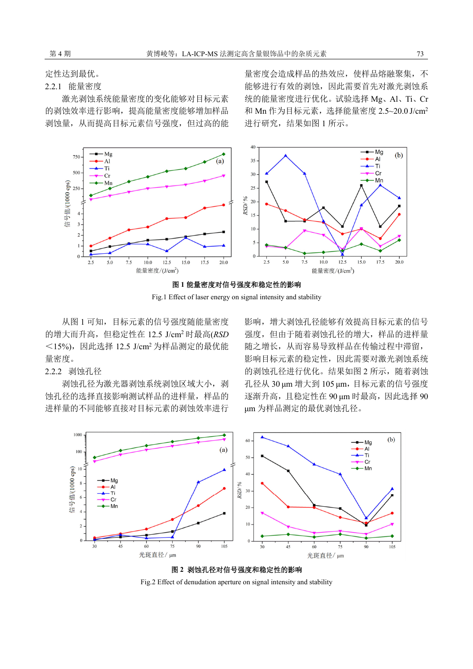定性达到最优。

### 2.2.1 能量密度

激光剥蚀系统能量密度的变化能够对目标元素 的剥蚀效率进行影响,提高能量密度能够增加样品 剥蚀量,从而提高目标元素信号强度,但过高的能

量密度会造成样品的热效应,使样品熔融聚集,不 能够进行有效的剥蚀,因此需要首先对激光剥蚀系 统的能量密度进行优化。试验选择 Mg、Al、Ti、Cr 和 Mn 作为目标元素, 选择能量密度 2.5~20.0 J/cm<sup>2</sup> 进行研究,结果如图 1 所示。





Fig.1 Effect of laser energy on signal intensity and stability

从图 1 可知, 目标元素的信号强度随能量密度 的增大而升高,但稳定性在 12.5 J/cm<sup>2</sup> 时最高(*RSD* <15%),因此选择 12.5 J/cm<sup>2</sup> 为样品测定的最优能 量密度。

# 2.2.2 剥蚀孔径

剥蚀孔径为激光器剥蚀系统剥蚀区域大小, 剥 蚀孔径的选择直接影响测试样品的进样量,样品的 进样量的不同能够直接对目标元素的剥蚀效率进行

影响,增大剥蚀孔径能够有效提高目标元素的信号 强度,但由于随着剥蚀孔径的增大,样品的进样量 随之增长,从而容易导致样品在传输过程中滞留, 影响目标元素的稳定性,因此需要对激光剥蚀系统 的剥蚀孔径进行优化。结果如图 2 所示, 随着剥蚀 孔径从 30 μm 增大到 105 μm,目标元素的信号强度 逐渐升高,且稳定性在 90 μm 时最高,因此选择 90 μm 为样品测定的最优剥蚀孔径。





Fig.2 Effect of denudation aperture on signal intensity and stability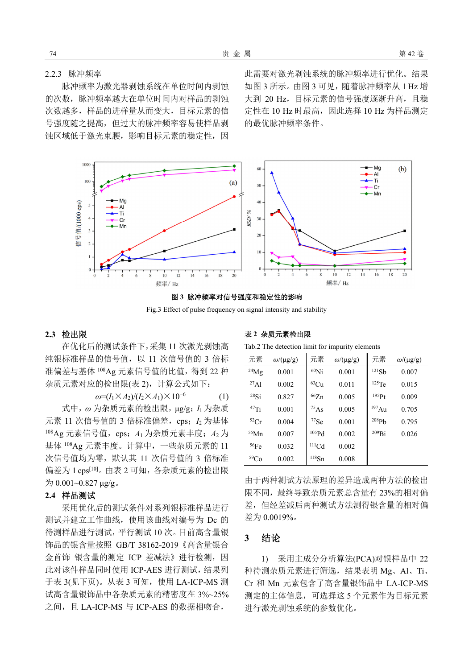2.2.3 脉冲频率

脉冲频率为激光器剥蚀系统在单位时间内剥蚀 的次数,脉冲频率越大在单位时间内对样品的剥蚀 次数越多,样品的进样量从而变大,目标元素的信 号强度随之提高,但过大的脉冲频率容易使样品剥 蚀区域低于激光束腰,影响目标元素的稳定性,因

此需要对激光剥蚀系统的脉冲频率进行优化。结果 如图 3 所示。由图 3 可见,随着脉冲频率从 1 Hz 增 大到 20 Hz, 目标元素的信号强度逐渐升高, 且稳 定性在 10 Hz 时最高,因此选择 10 Hz 为样品测定 的最优脉冲频率条件。



图 **3** 脉冲频率对信号强度和稳定性的影响

Fig.3 Effect of pulse frequency on signal intensity and stability

# **2.3** 检出限

在优化后的测试条件下,采集 11 次激光剥蚀高 纯银标准样品的信号值,以 11 次信号值的 3 倍标 准偏差与基体 <sup>108</sup>Ag 元素信号值的比值,得到 22 种 杂质元素对应的检出限(表 2),计算公式如下:

$$
\omega = (I_1 \times A_2) / (I_2 \times A_1) \times 10^{-6} \tag{1}
$$

式中,*ω* 为杂质元素的检出限,μg/g;*I*<sup>1</sup> 为杂质 元素 11 次信号值的 3 倍标准偏差, cps; *I*<sub>2</sub> 为基体 108Ag 元素信号值, cps;  $A_1$  为杂质元素丰度;  $A_2$  为 基体 <sup>108</sup>Ag 元素丰度。计算中,一些杂质元素的 11 次信号值均为零,默认其 11 次信号值的 3 倍标准 偏差为 1 cps<sup>[10]</sup>。由表 2 可知, 各杂质元素的检出限  $\frac{1}{2}$  0.001~0.827 μg/g.

#### **2.4** 样品测试

采用优化后的测试条件对系列银标准样品进行 测试并建立工作曲线,使用该曲线对编号为 Dc 的 待测样品进行测试,平行测试 10 次。目前高含量银 饰品的银含量按照 GB/T 38162-2019《高含量银合 金首饰 银含量的测定 ICP 差减法》进行检测, 因 此对该件样品同时使用 ICP-AES 进行测试,结果列 于表 3(见下页)。从表 3 可知,使用 LA-ICP-MS 测 试高含量银饰品中各杂质元素的精密度在 3%~25% 之间,且 LA-ICP-MS 与 ICP-AES 的数据相吻合,

表 **2** 杂质元素检出限

Tab.2 The detection limit for impurity elements

| 元素               | $\omega$ /(µg/g) | 元素                | $\omega$ /(µg/g) | 元素                | $\omega$ /(µg/g) |
|------------------|------------------|-------------------|------------------|-------------------|------------------|
| $^{24}Mg$        | 0.001            | $60$ Ni           | 0.001            | 121Sb             | 0.007            |
| $^{27}$ Al       | 0.002            | ${}^{63}Cu$       | 0.011            | $125$ Te          | 0.015            |
| 28Si             | 0.827            | 66Zn              | 0.005            | $195p_{1}$        | 0.009            |
| $47$ Ti          | 0.001            | $^{75}$ As        | 0.005            | 197Au             | 0.705            |
| ${}^{52}Cr$      | 0.004            | $77$ Se           | 0.001            | 208P <sub>b</sub> | 0.795            |
| 55Mn             | 0.007            | 105P <sub>d</sub> | 0.002            | $^{209}Bi$        | 0.026            |
| 56Fe             | 0.032            | $^{111}$ Cd       | 0.002            |                   |                  |
| 59 <sub>Co</sub> | 0.002            | $^{118}{\rm Sn}$  | 0.008            |                   |                  |

由于两种测试方法原理的差异造成两种方法的检出 限不同,最终导致杂质元素总含量有 23%的相对偏 差,但经差减后两种测试方法测得银含量的相对偏 差为 0.0019%。

# **3** 结论

1) 采用主成分分析算法(PCA)对银样品中 22 种待测杂质元素进行筛选,结果表明 Mg、Al、Ti、 Cr 和 Mn 元素包含了高含量银饰品中 LA-ICP-MS 测定的主体信息,可选择这 5 个元素作为目标元素 进行激光剥蚀系统的参数优化。